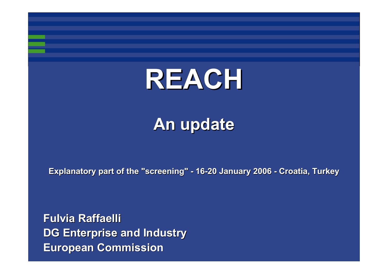# **REACH**

# **An update An update**

**Explanatory part of the "screening" - 16-20 January 2006 - Croatia, Turkey** 

**Fulvia Raffaelli Fulvia RaffaelliDG Enterprise and Industry DG Enterprise and Industry European Commission European Commission**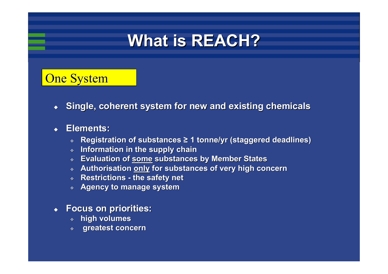# **What is REACH? What is REACH?**

### **One System**

◆ **Single, coherent system for new and existing chemicals** 

#### ◆ **Elements: Elements:**

- ❖ **Registration of substances Registration of substances ≥ 1 tonne/yr (staggered deadlines) 1 tonne/yr (staggered deadlines)**
- $\hat{\mathbf{Q}}$ **Information in Information in the supply chain**
- $\mathbf{q}_\mathrm{c}$ **Evaluation of some substances by Member States**
- $\mathbf{g}_k$ **Authorisation Authorisation only for substances of very high concern for substances of very high concern**
- $\hat{\Phi}^{\pm}$ **Restrictions - the safety net**
- $\hat{\mathbf{Q}}$ **Agency to manage system**

#### ♦ **Focus on priorities: Focus on priorities:**

- **high volumes high volumes**
- $\mathbf{Q}^{\mathbf{r}}$ **greatest concern greatest concern**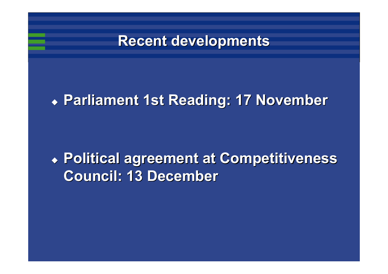

# **Parliament 1st Reading: 17 November Parliament 1st Reading: 17 November**

# **Political agreement at Competitiveness Political agreement at Competitiveness Council: 13 December Council: 13 December**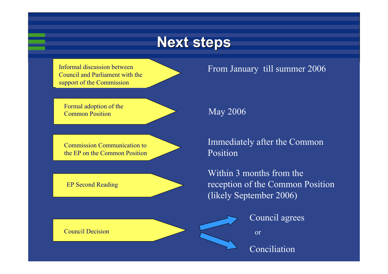### **Next steps Next steps**

Informal discussion between Council and Parliament with the support of the Commission



Formal adoption of the Common Position

Commission Communication to the EP on the Common Position

EP Second Reading

May 2006

Immediately after the Common Position

From January till summer 2006

Within 3 months from the reception of the Common Position (likely September 2006)

Council agrees

or

Conciliation

Council Decision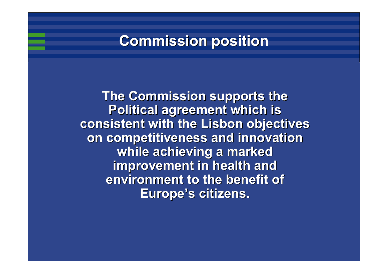### **Commission position Commission position**

**The Commission supports the Political agreement which is Political agreement which is consistent with the Lisbon objectives consistent with the Lisbon objectives on competitiveness and innovation** while achieving a marked **improvement in health and improvement in health and environment to the benefit of Europe's citizens.**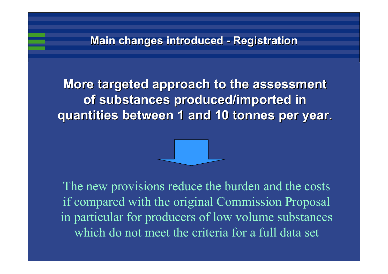**More targeted approach to the assessment More targeted approach to the assessment of substances produced/imported in quantities between 1 and 10 tonnes per year. quantities between 1 and 10 tonnes per year.**



The new provisions reduce the burden and the costs if compared with the original Commission Proposal in particular for producers of low volume substances which do not meet the criteria for a full data set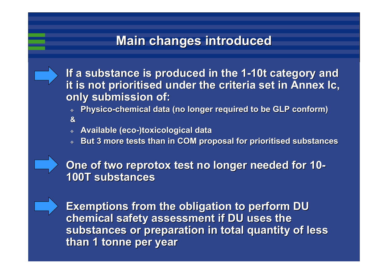### **Main changes introduced**

**If a substance is produced in the 1 If a substance is produced in the 1 -10t category and 10t category and it is not prioritised under the criteria set in Annex Ic, only submission of: only submission of:**

- ❖ **Physico Physico -chemical data (no longer required to be GLP conform) chemical data (no longer required to be GLP conform) &**
- $\mathbf{A}^{\mathbf{r}}$ **Available (eco Available (eco -)toxicological data )toxicological data**
- ❖ **But 3 more tests than in COM proposal for prioritised substances But 3 more tests than in COM proposal for prioritised substances**

**One of two reprotox reprotox test no longer needed for 10 - 100T substances 100T substances**

**Exemptions from the obligation to perform DU Exemptions from the obligation to perform DU chemical safety assessment if DU uses the chemical safety assessment if DU uses the**  substances or preparation in total quantity of less **than 1 tonne per year than 1 tonne per year**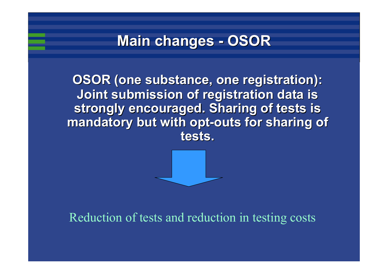#### **Main changes - OSOR**

**OSOR (one substance, one registration): Joint submission of registration data is Joint submission of registration data is**  strongly encouraged. Sharing of tests is **mandatory but with opt mandatory but with opt -outs for sharing of outs for sharing of tests.**



### Reduction of tests and reduction in testing costs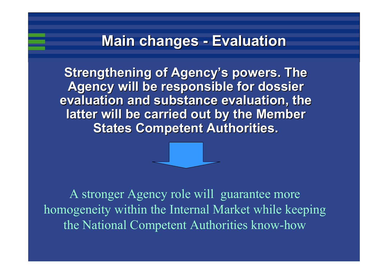#### **Main changes - Evaluation Evaluation**

**Strengthening of Agency's powers. The Agency will be responsible for dossier evaluation and substance evaluation, the** latter will be carried out by the Member **States Competent Authorities.** 



A stronger Agency role will guarantee more homogeneity within the Internal Market while keeping the National Competent Authorities know-how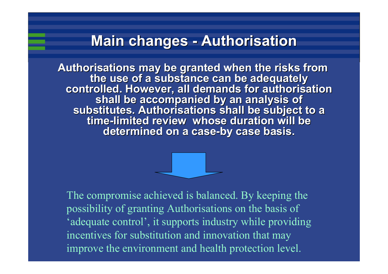#### **Main changes - Authorisation Authorisation**

Authorisations may be granted when the risks from<br>the use of a substance can be adequately<br>controlled. However, all demands for authorisation<br>shall be accompanied by an analysis of substitutes. Authorisations shall be subject to a **-limited review whose duration will be limited review whose duration will be determined on a case determined on a case -by case basis. by case basis.**

The compromise achieved is balanced. By keeping the possibility of granting Authorisations on the basis of 'adequate control', it supports industry while providing incentives for substitution and innovation that may improve the environment and health protection level.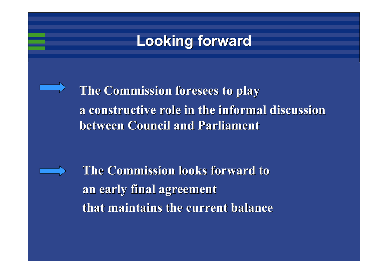### **Looking forward Looking forward**

**The Commission foresees to play a constructive role in the informal discussion a constructive role in the informal discussion between Council and Parliament** 

**The Commission looks forward to an early final agreement an early final agreement that maintains the current balance that maintains the current balance**